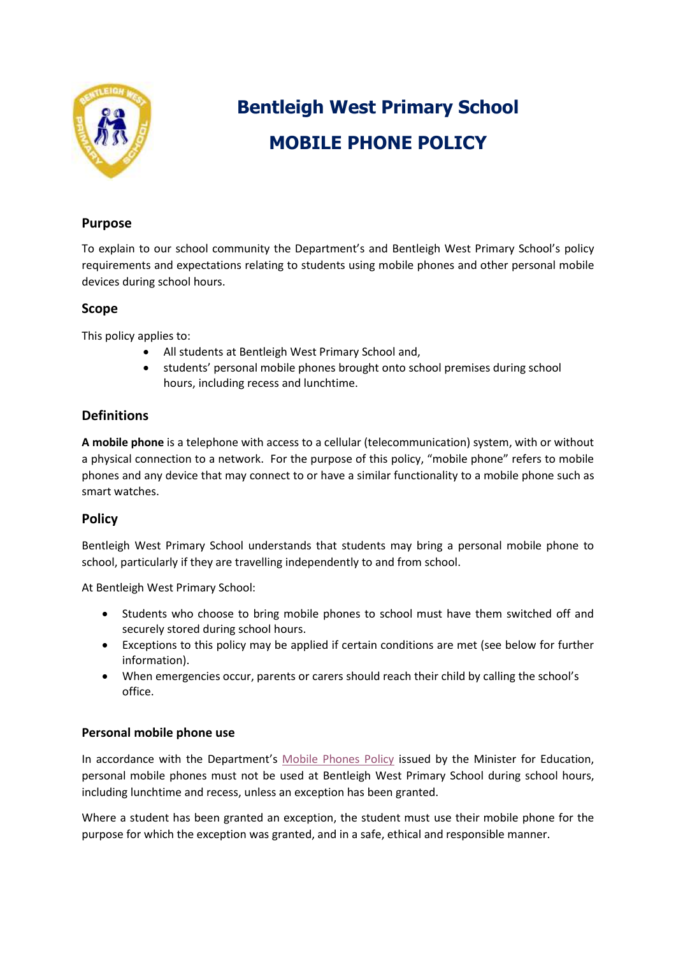

# **Bentleigh West Primary School MOBILE PHONE POLICY**

# **Purpose**

To explain to our school community the Department's and Bentleigh West Primary School's policy requirements and expectations relating to students using mobile phones and other personal mobile devices during school hours.

# **Scope**

This policy applies to:

- All students at Bentleigh West Primary School and,
- students' personal mobile phones brought onto school premises during school hours, including recess and lunchtime.

# **Definitions**

**A mobile phone** is a telephone with access to a cellular (telecommunication) system, with or without a physical connection to a network. For the purpose of this policy, "mobile phone" refers to mobile phones and any device that may connect to or have a similar functionality to a mobile phone such as smart watches.

# **Policy**

Bentleigh West Primary School understands that students may bring a personal mobile phone to school, particularly if they are travelling independently to and from school.

At Bentleigh West Primary School:

- Students who choose to bring mobile phones to school must have them switched off and securely stored during school hours.
- Exceptions to this policy may be applied if certain conditions are met (see below for further information).
- When emergencies occur, parents or carers should reach their child by calling the school's office.

#### **Personal mobile phone use**

In accordance with the Department's [Mobile Phones Policy](https://www.education.vic.gov.au/school/principals/spag/safety/Pages/mobilephones.aspx) issued by the Minister for Education, personal mobile phones must not be used at Bentleigh West Primary School during school hours, including lunchtime and recess, unless an exception has been granted.

Where a student has been granted an exception, the student must use their mobile phone for the purpose for which the exception was granted, and in a safe, ethical and responsible manner.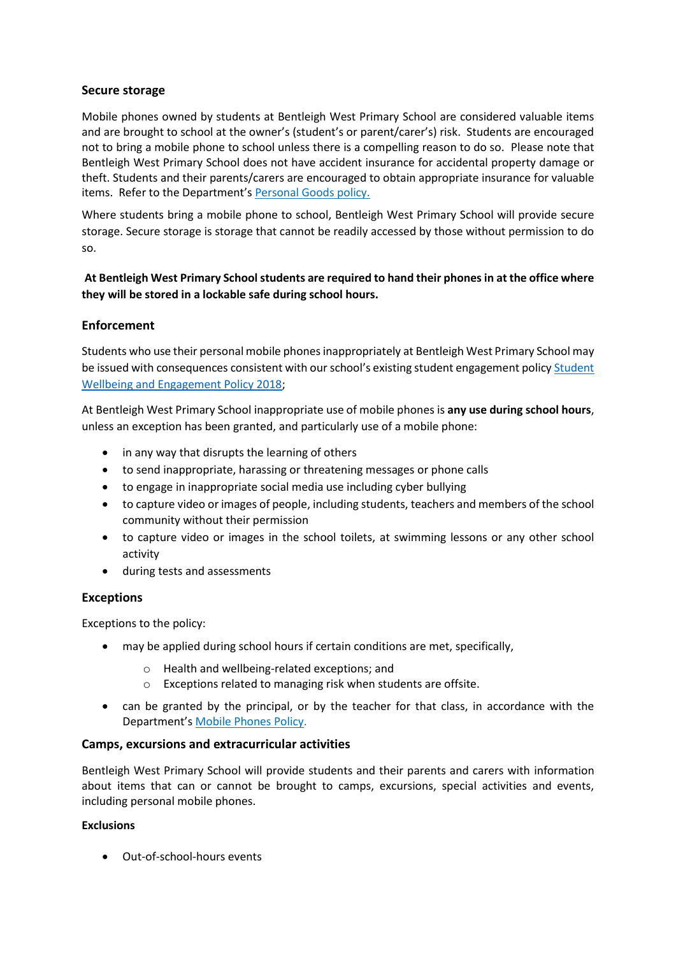#### **Secure storage**

Mobile phones owned by students at Bentleigh West Primary School are considered valuable items and are brought to school at the owner's (student's or parent/carer's) risk. Students are encouraged not to bring a mobile phone to school unless there is a compelling reason to do so. Please note that Bentleigh West Primary School does not have accident insurance for accidental property damage or theft. Students and their parents/carers are encouraged to obtain appropriate insurance for valuable items. Refer to the Department's [Personal Goods](https://www.education.vic.gov.au/school/principals/spag/governance/pages/personalgoods.aspx) policy.

Where students bring a mobile phone to school, Bentleigh West Primary School will provide secure storage. Secure storage is storage that cannot be readily accessed by those without permission to do so.

# **At Bentleigh West Primary School students are required to hand their phones in at the office where they will be stored in a lockable safe during school hours.**

#### **Enforcement**

Students who use their personal mobile phones inappropriately at Bentleigh West Primary School may be issued with consequences consistent with our school's existing student engagement policy [Student](https://www.bentleighwestps.vic.edu.au/our-policies)  [Wellbeing and Engagement Policy 2018;](https://www.bentleighwestps.vic.edu.au/our-policies)

At Bentleigh West Primary School inappropriate use of mobile phones is **any use during school hours**, unless an exception has been granted, and particularly use of a mobile phone:

- in any way that disrupts the learning of others
- to send inappropriate, harassing or threatening messages or phone calls
- to engage in inappropriate social media use including cyber bullying
- to capture video or images of people, including students, teachers and members of the school community without their permission
- to capture video or images in the school toilets, at swimming lessons or any other school activity
- during tests and assessments

#### **Exceptions**

Exceptions to the policy:

- may be applied during school hours if certain conditions are met, specifically,
	- o Health and wellbeing-related exceptions; and
	- o Exceptions related to managing risk when students are offsite.
- can be granted by the principal, or by the teacher for that class, in accordance with the Department's [Mobile Phones Policy.](https://www.education.vic.gov.au/school/principals/spag/safety/Pages/mobilephones.aspx)

#### **Camps, excursions and extracurricular activities**

Bentleigh West Primary School will provide students and their parents and carers with information about items that can or cannot be brought to camps, excursions, special activities and events, including personal mobile phones.

#### **Exclusions**

Out-of-school-hours events